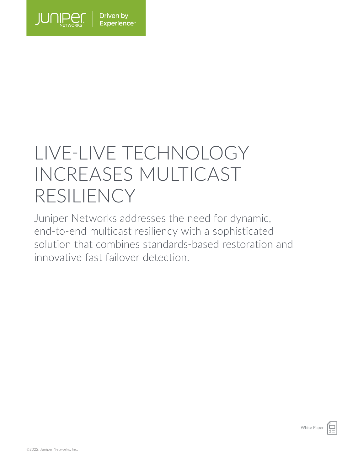

# LIVE-LIVE TECHNOLOGY INCREASES MULTICAST RESILIENCY

Juniper Networks addresses the need for dynamic, end-to-end multicast resiliency with a sophisticated solution that combines standards-based restoration and innovative fast failover detection.

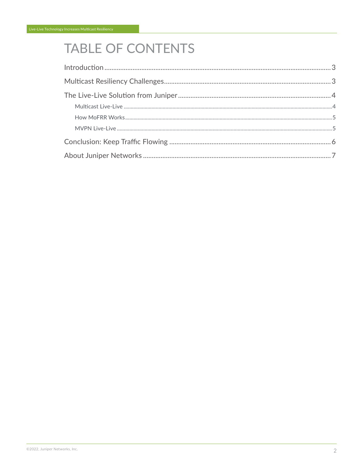# **TABLE OF CONTENTS**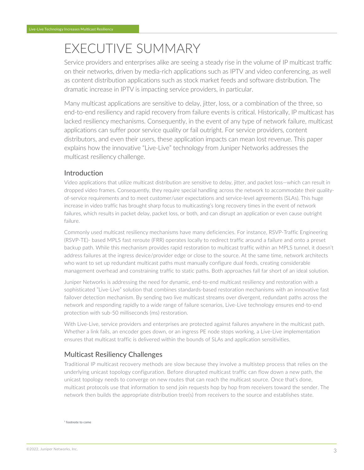# <span id="page-2-0"></span>EXECUTIVE SUMMARY

Service providers and enterprises alike are seeing a steady rise in the volume of IP multicast traffic on their networks, driven by media-rich applications such as IPTV and video conferencing, as well as content distribution applications such as stock market feeds and software distribution. The dramatic increase in IPTV is impacting service providers, in particular.

Many multicast applications are sensitive to delay, jitter, loss, or a combination of the three, so end-to-end resiliency and rapid recovery from failure events is critical. Historically, IP multicast has lacked resiliency mechanisms. Consequently, in the event of any type of network failure, multicast applications can suffer poor service quality or fail outright. For service providers, content distributors, and even their users, these application impacts can mean lost revenue. This paper explains how the innovative "Live-Live" technology from Juniper Networks addresses the multicast resiliency challenge.

# Introduction

Video applications that utilize multicast distribution are sensitive to delay, jitter, and packet loss—which can result in dropped video frames. Consequently, they require special handling across the network to accommodate their qualityof-service requirements and to meet customer/user expectations and service-level agreements (SLAs). This huge increase in video traffic has brought sharp focus to multicasting's long recovery times in the event of network failures, which results in packet delay, packet loss, or both, and can disrupt an application or even cause outright failure.

Commonly used multicast resiliency mechanisms have many deficiencies. For instance, RSVP-Traffic Engineering (RSVP-TE)- based MPLS fast reroute (FRR) operates locally to redirect traffic around a failure and onto a preset backup path. While this mechanism provides rapid restoration to multicast traffic within an MPLS tunnel, it doesn't address failures at the ingress device/provider edge or close to the source. At the same time, network architects who want to set up redundant multicast paths must manually configure dual feeds, creating considerable management overhead and constraining traffic to static paths. Both approaches fall far short of an ideal solution.

Juniper Networks is addressing the need for dynamic, end-to-end multicast resiliency and restoration with a sophisticated "Live-Live" solution that combines standards-based restoration mechanisms with an innovative fast failover detection mechanism. By sending two live multicast streams over divergent, redundant paths across the network and responding rapidly to a wide range of failure scenarios, Live-Live technology ensures end-to-end protection with sub-50 milliseconds (ms) restoration.

With Live-Live, service providers and enterprises are protected against failures anywhere in the multicast path. Whether a link fails, an encoder goes down, or an ingress PE node stops working, a Live-Live implementation ensures that multicast traffic is delivered within the bounds of SLAs and application sensitivities.

# Multicast Resiliency Challenges

Traditional IP multicast recovery methods are slow because they involve a multistep process that relies on the underlying unicast topology configuration. Before disrupted multicast traffic can flow down a new path, the unicast topology needs to converge on new routes that can reach the multicast source. Once that's done, multicast protocols use that information to send join requests hop by hop from receivers toward the sender. The network then builds the appropriate distribution tree(s) from receivers to the source and establishes state.

1 footnote to come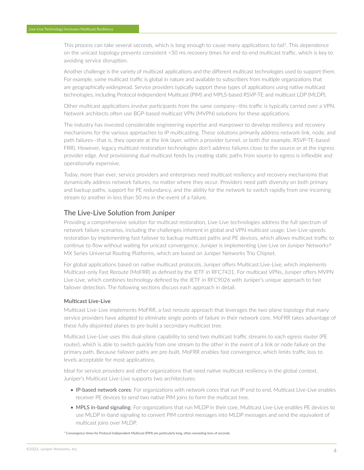<span id="page-3-0"></span>This process can take several seconds, which is long enough to cause many applications to fail<sup>2</sup>. This dependence on the unicast topology prevents consistent <50 ms recovery times for end-to-end multicast traffic, which is key to avoiding service disruption.

Another challenge is the variety of multicast applications and the different multicast technologies used to support them. For example, some multicast traffic is global in nature and available to subscribers from multiple organizations that are geographically widespread. Service providers typically support these types of applications using native multicast technologies, including Protocol Independent Multicast (PIM) and MPLS-based RSVP-TE and multicast LDP (MLDP).

Other multicast applications involve participants from the same company—this traffic is typically carried over a VPN. Network architects often use BGP-based multicast VPN (MVPN) solutions for these applications.

The industry has invested considerable engineering expertise and manpower to develop resiliency and recovery mechanisms for the various approaches to IP multicasting. These solutions primarily address network link, node, and path failures—that is, they operate at the link layer, within a provider tunnel, or both (for example, RSVP-TE-based FRR). However, legacy multicast restoration technologies don't address failures close to the source or at the ingress provider edge. And provisioning dual multicast feeds by creating static paths from source to egress is inflexible and operationally expensive.

Today, more than ever, service providers and enterprises need multicast resiliency and recovery mechanisms that dynamically address network failures, no matter where they occur. Providers need path diversity on both primary and backup paths, support for PE redundancy, and the ability for the network to switch rapidly from one incoming stream to another in less than 50 ms in the event of a failure.

## The Live-Live Solution from Juniper

Providing a comprehensive solution for multicast restoration, Live-Live technologies address the full spectrum of network failure scenarios, including the challenges inherent in global and VPN multicast usage. Live-Live speeds restoration by implementing fast failover to backup multicast paths and PE devices, which allows multicast traffic to continue to flow without waiting for unicast convergence. Juniper is implementing Live-Live on Juniper Networks® MX Series Universal Routing Platforms, which are based on Juniper Networks Trio Chipset.

For global applications based on native multicast protocols, Juniper offers Multicast Live-Live, which implements Multicast-only Fast Reroute (MoFRR) as defined by the IETF in RFC7431. For multicast VPNs, Juniper offers MVPN Live-Live, which combines technology defined by the IETF in RFC9026 with Juniper's unique approach to fast failover detection. The following sections discuss each approach in detail.

#### **Multicast Live-Live**

Multicast Live-Live implements MoFRR, a fast reroute approach that leverages the two-plane topology that many service providers have adopted to eliminate single points of failure in their network core. MoFRR takes advantage of these fully disjointed planes to pre-build a secondary multicast tree.

Multicast Live-Live uses this dual-plane capability to send two multicast traffic streams to each egress router (PE router), which is able to switch quickly from one stream to the other in the event of a link or node failure on the primary path. Because failover paths are pre-built, MoFRR enables fast convergence, which limits traffic loss to levels acceptable for most applications.

Ideal for service providers and other organizations that need native multicast resiliency in the global context, Juniper's Multicast Live-Live supports two architectures:

- IP-based network cores: For organizations with network cores that run IP end to end, Multicast Live-Live enables receiver PE devices to send two native PIM joins to form the multicast tree.
- MPLS in-band signaling: For organizations that run MLDP in their core, Multicast Live-Live enables PE devices to use MLDP in-band signaling to convert PIM control messages into MLDP messages and send the equivalent of multicast joins over MLDP.

2 Convergence times for Protocol Independent Multicast (PIM) are particularly long, often exceeding tens of seconds.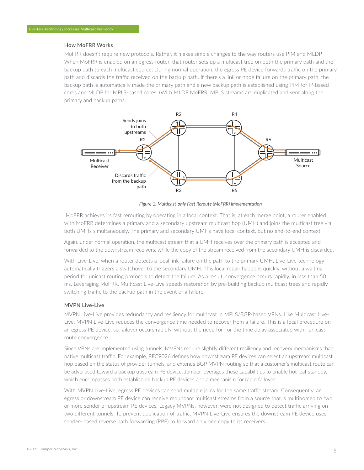#### <span id="page-4-0"></span>**How MoFRR Works**

MoFRR doesn't require new protocols. Rather, it makes simple changes to the way routers use PIM and MLDP. When MoFRR is enabled on an egress router, that router sets up a multicast tree on both the primary path and the backup path to each multicast source. During normal operation, the egress PE device forwards traffic on the primary path and discards the traffic received on the backup path. If there's a link or node failure on the primary path, the backup path is automatically made the primary path and a new backup path is established using PIM for IP-based cores and MLDP for MPLS-based cores. (With MLDP MoFRR, MPLS streams are duplicated and sent along the primary and backup paths.



*Figure 1: Multicast-only Fast Reroute (MoFRR) implementation*

 MoFRR achieves its fast rerouting by operating in a local context. That is, at each merge point, a router enabled with MoFRR determines a primary and a secondary upstream multicast hop (UMH) and joins the multicast tree via both UMHs simultaneously. The primary and secondary UMHs have local context, but no end-to-end context.

Again, under normal operation, the multicast stream that a UMH receives over the primary path is accepted and forwarded to the downstream receivers, while the copy of the stream received from the secondary UMH is discarded.

With Live-Live, when a router detects a local link failure on the path to the primary UMH, Live-Live technology automatically triggers a switchover to the secondary UMH. This local repair happens quickly, without a waiting period for unicast routing protocols to detect the failure. As a result, convergence occurs rapidly, in less than 50 ms. Leveraging MoFRR, Multicast Live-Live speeds restoration by pre-building backup multicast trees and rapidly switching traffic to the backup path in the event of a failure.

#### **MVPN Live-Live**

MVPN Live-Live provides redundancy and resiliency for multicast in MPLS/BGP-based VPNs. Like Multicast Live-Live, MVPN Live-Live reduces the convergence time needed to recover from a failure. This is a local procedure on an egress PE device, so failover occurs rapidly, without the need for—or the time delay associated with—unicast route convergence.

Since VPNs are implemented using tunnels, MVPNs require slightly different resiliency and recovery mechanisms than native multicast traffic. For example, RFC9026 defines how downstream PE devices can select an upstream multicast hop based on the status of provider tunnels, and extends BGP MVPN routing so that a customer's multicast route can be advertised toward a backup upstream PE device. Juniper leverages these capabilities to enable hot leaf standby, which encompasses both establishing backup PE devices and a mechanism for rapid failover.

With MVPN Live-Live, egress PE devices can send multiple joins for the same traffic stream. Consequently, an egress or downstream PE device can receive redundant multicast streams from a source that is multihomed to two or more sender or upstream PE devices. Legacy MVPNs, however, were not designed to detect traffic arriving on two different tunnels. To prevent duplication of traffic, MVPN Live-Live ensures the downstream PE device uses sender- based reverse path forwarding (RPF) to forward only one copy to its receivers.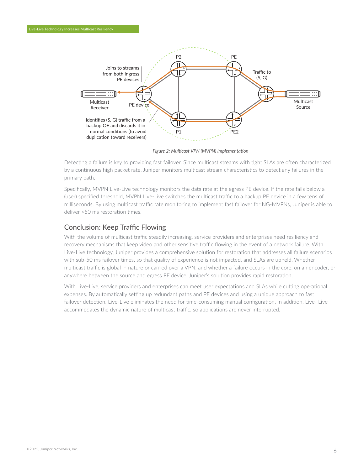<span id="page-5-0"></span>

*Figure 2: Multicast VPN (MVPN) implementation*

Detecting a failure is key to providing fast failover. Since multicast streams with tight SLAs are often characterized by a continuous high packet rate, Juniper monitors multicast stream characteristics to detect any failures in the primary path.

Specifically, MVPN Live-Live technology monitors the data rate at the egress PE device. If the rate falls below a (user) specified threshold, MVPN Live-Live switches the multicast traffic to a backup PE device in a few tens of milliseconds. By using multicast traffic rate monitoring to implement fast failover for NG-MVPNs, Juniper is able to deliver <50 ms restoration times.

## Conclusion: Keep Traffic Flowing

With the volume of multicast traffic steadily increasing, service providers and enterprises need resiliency and recovery mechanisms that keep video and other sensitive traffic flowing in the event of a network failure. With Live-Live technology, Juniper provides a comprehensive solution for restoration that addresses all failure scenarios with sub-50 ms failover times, so that quality of experience is not impacted, and SLAs are upheld. Whether multicast traffic is global in nature or carried over a VPN, and whether a failure occurs in the core, on an encoder, or anywhere between the source and egress PE device, Juniper's solution provides rapid restoration.

With Live-Live, service providers and enterprises can meet user expectations and SLAs while cutting operational expenses. By automatically setting up redundant paths and PE devices and using a unique approach to fast failover detection, Live-Live eliminates the need for time-consuming manual configuration. In addition, Live- Live accommodates the dynamic nature of multicast traffic, so applications are never interrupted.